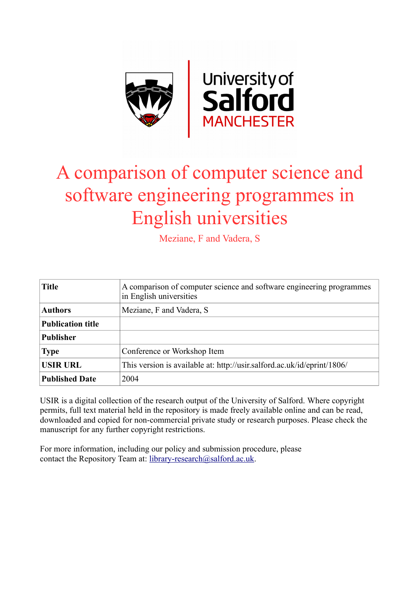

# A comparison of computer science and software engineering programmes in English universities

Meziane, F and Vadera, S

| <b>Title</b>             | A comparison of computer science and software engineering programmes<br>in English universities |
|--------------------------|-------------------------------------------------------------------------------------------------|
| <b>Authors</b>           | Meziane, F and Vadera, S                                                                        |
| <b>Publication title</b> |                                                                                                 |
| <b>Publisher</b>         |                                                                                                 |
| <b>Type</b>              | Conference or Workshop Item                                                                     |
| <b>USIR URL</b>          | This version is available at: http://usir.salford.ac.uk/id/eprint/1806/                         |
| <b>Published Date</b>    | 2004                                                                                            |

USIR is a digital collection of the research output of the University of Salford. Where copyright permits, full text material held in the repository is made freely available online and can be read, downloaded and copied for non-commercial private study or research purposes. Please check the manuscript for any further copyright restrictions.

For more information, including our policy and submission procedure, please contact the Repository Team at: [library-research@salford.ac.uk.](mailto:library-research@salford.ac.uk)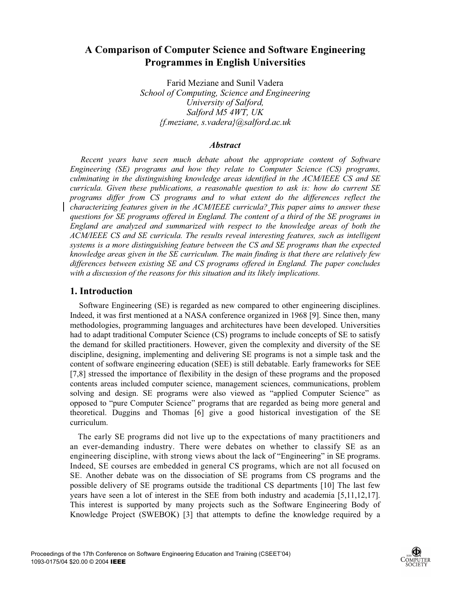# **A Comparison of Computer Science and Software Engineering Programmes in English Universities**

Farid Meziane and Sunil Vadera *School of Computing, Science and Engineering University of Salford, Salford M5 4WT, UK {f.meziane, s.vadera}@salford.ac.uk*

#### *Abstract*

*Recent years have seen much debate about the appropriate content of Software Engineering (SE) programs and how they relate to Computer Science (CS) programs, culminating in the distinguishing knowledge areas identified in the ACM/IEEE CS and SE curricula. Given these publications, a reasonable question to ask is: how do current SE programs differ from CS programs and to what extent do the differences reflect the characterizing features given in the ACM/IEEE curricula? This paper aims to answer these questions for SE programs offered in England. The content of a third of the SE programs in England are analyzed and summarized with respect to the knowledge areas of both the ACM/IEEE CS and SE curricula. The results reveal interesting features, such as intelligent systems is a more distinguishing feature between the CS and SE programs than the expected knowledge areas given in the SE curriculum. The main finding is that there are relatively few differences between existing SE and CS programs offered in England. The paper concludes with a discussion of the reasons for this situation and its likely implications.* 

#### **1. Introduction**

Software Engineering (SE) is regarded as new compared to other engineering disciplines. Indeed, it was first mentioned at a NASA conference organized in 1968 [9]. Since then, many methodologies, programming languages and architectures have been developed. Universities had to adapt traditional Computer Science (CS) programs to include concepts of SE to satisfy the demand for skilled practitioners. However, given the complexity and diversity of the SE discipline, designing, implementing and delivering SE programs is not a simple task and the content of software engineering education (SEE) is still debatable. Early frameworks for SEE [7,8] stressed the importance of flexibility in the design of these programs and the proposed contents areas included computer science, management sciences, communications, problem solving and design. SE programs were also viewed as "applied Computer Science" as opposed to "pure Computer Science" programs that are regarded as being more general and theoretical. Duggins and Thomas [6] give a good historical investigation of the SE curriculum.

The early SE programs did not live up to the expectations of many practitioners and an ever-demanding industry. There were debates on whether to classify SE as an engineering discipline, with strong views about the lack of "Engineering" in SE programs. Indeed, SE courses are embedded in general CS programs, which are not all focused on SE. Another debate was on the dissociation of SE programs from CS programs and the possible delivery of SE programs outside the traditional CS departments [10] The last few years have seen a lot of interest in the SEE from both industry and academia [5,11,12,17]. This interest is supported by many projects such as the Software Engineering Body of Knowledge Project (SWEBOK) [3] that attempts to define the knowledge required by a

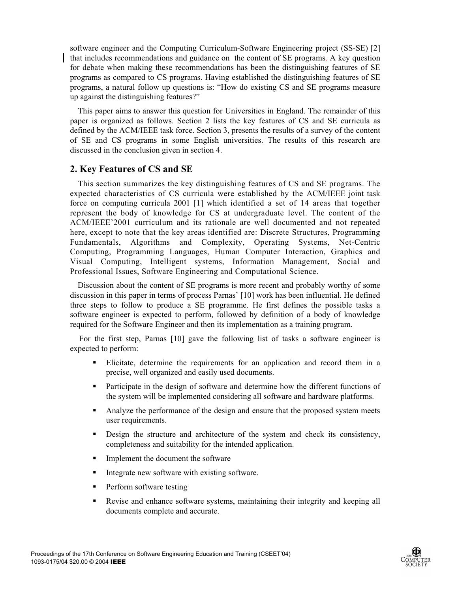software engineer and the Computing Curriculum-Software Engineering project (SS-SE) [2] that includes recommendations and guidance on the content of SE programs. A key question for debate when making these recommendations has been the distinguishing features of SE programs as compared to CS programs. Having established the distinguishing features of SE programs, a natural follow up questions is: "How do existing CS and SE programs measure up against the distinguishing features?"

This paper aims to answer this question for Universities in England. The remainder of this paper is organized as follows. Section 2 lists the key features of CS and SE curricula as defined by the ACM/IEEE task force. Section 3, presents the results of a survey of the content of SE and CS programs in some English universities. The results of this research are discussed in the conclusion given in section 4.

#### **2. Key Features of CS and SE**

This section summarizes the key distinguishing features of CS and SE programs. The expected characteristics of CS curricula were established by the ACM/IEEE joint task force on computing curricula 2001 [1] which identified a set of 14 areas that together represent the body of knowledge for CS at undergraduate level. The content of the ACM/IEEE'2001 curriculum and its rationale are well documented and not repeated here, except to note that the key areas identified are: Discrete Structures, Programming Fundamentals, Algorithms and Complexity, Operating Systems, Net-Centric Computing, Programming Languages, Human Computer Interaction, Graphics and Visual Computing, Intelligent systems, Information Management, Social and Professional Issues, Software Engineering and Computational Science.

Discussion about the content of SE programs is more recent and probably worthy of some discussion in this paper in terms of process Parnas' [10] work has been influential. He defined three steps to follow to produce a SE programme. He first defines the possible tasks a software engineer is expected to perform, followed by definition of a body of knowledge required for the Software Engineer and then its implementation as a training program.

For the first step, Parnas [10] gave the following list of tasks a software engineer is expected to perform:

- Elicitate, determine the requirements for an application and record them in a precise, well organized and easily used documents.
- Participate in the design of software and determine how the different functions of the system will be implemented considering all software and hardware platforms.
- Analyze the performance of the design and ensure that the proposed system meets user requirements.
- Design the structure and architecture of the system and check its consistency, completeness and suitability for the intended application.
- Implement the document the software
- Integrate new software with existing software.
- Perform software testing
- Revise and enhance software systems, maintaining their integrity and keeping all documents complete and accurate.

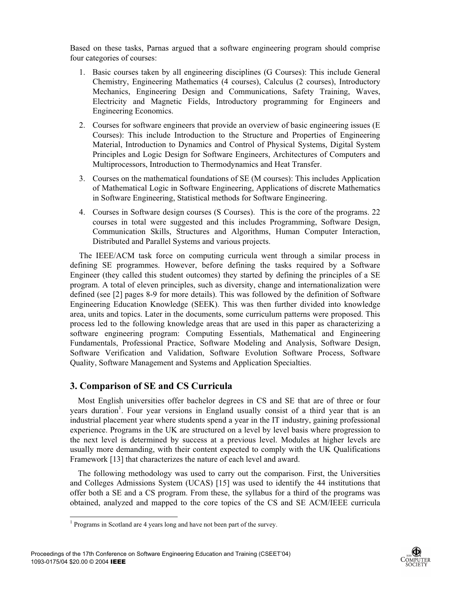Based on these tasks, Parnas argued that a software engineering program should comprise four categories of courses:

- 1. Basic courses taken by all engineering disciplines (G Courses): This include General Chemistry, Engineering Mathematics (4 courses), Calculus (2 courses), Introductory Mechanics, Engineering Design and Communications, Safety Training, Waves, Electricity and Magnetic Fields, Introductory programming for Engineers and Engineering Economics.
- 2. Courses for software engineers that provide an overview of basic engineering issues (E Courses): This include Introduction to the Structure and Properties of Engineering Material, Introduction to Dynamics and Control of Physical Systems, Digital System Principles and Logic Design for Software Engineers, Architectures of Computers and Multiprocessors, Introduction to Thermodynamics and Heat Transfer.
- 3. Courses on the mathematical foundations of SE (M courses): This includes Application of Mathematical Logic in Software Engineering, Applications of discrete Mathematics in Software Engineering, Statistical methods for Software Engineering.
- 4. Courses in Software design courses (S Courses). This is the core of the programs. 22 courses in total were suggested and this includes Programming, Software Design, Communication Skills, Structures and Algorithms, Human Computer Interaction, Distributed and Parallel Systems and various projects.

The IEEE/ACM task force on computing curricula went through a similar process in defining SE programmes. However, before defining the tasks required by a Software Engineer (they called this student outcomes) they started by defining the principles of a SE program. A total of eleven principles, such as diversity, change and internationalization were defined (see [2] pages 8-9 for more details). This was followed by the definition of Software Engineering Education Knowledge (SEEK). This was then further divided into knowledge area, units and topics. Later in the documents, some curriculum patterns were proposed. This process led to the following knowledge areas that are used in this paper as characterizing a software engineering program: Computing Essentials, Mathematical and Engineering Fundamentals, Professional Practice, Software Modeling and Analysis, Software Design, Software Verification and Validation, Software Evolution Software Process, Software Quality, Software Management and Systems and Application Specialties.

## **3. Comparison of SE and CS Curricula**

Most English universities offer bachelor degrees in CS and SE that are of three or four years duration<sup>1</sup>. Four year versions in England usually consist of a third year that is an industrial placement year where students spend a year in the IT industry, gaining professional experience. Programs in the UK are structured on a level by level basis where progression to the next level is determined by success at a previous level. Modules at higher levels are usually more demanding, with their content expected to comply with the UK Qualifications Framework [13] that characterizes the nature of each level and award.

The following methodology was used to carry out the comparison. First, the Universities and Colleges Admissions System (UCAS) [15] was used to identify the 44 institutions that offer both a SE and a CS program. From these, the syllabus for a third of the programs was obtained, analyzed and mapped to the core topics of the CS and SE ACM/IEEE curricula



 1 Programs in Scotland are 4 years long and have not been part of the survey.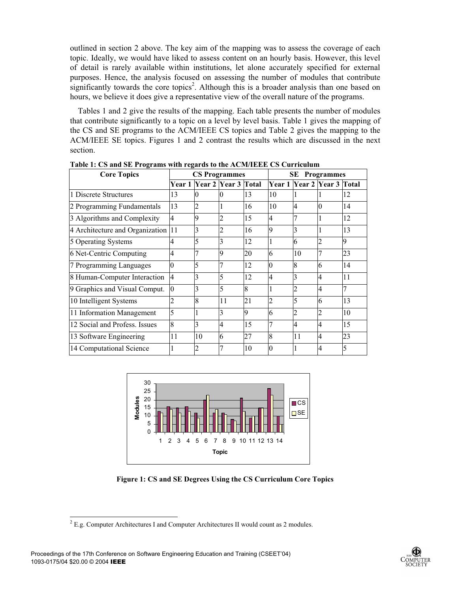outlined in section 2 above. The key aim of the mapping was to assess the coverage of each topic. Ideally, we would have liked to assess content on an hourly basis. However, this level of detail is rarely available within institutions, let alone accurately specified for external purposes. Hence, the analysis focused on assessing the number of modules that contribute significantly towards the core topics<sup>2</sup>. Although this is a broader analysis than one based on hours, we believe it does give a representative view of the overall nature of the programs.

Tables 1 and 2 give the results of the mapping. Each table presents the number of modules that contribute significantly to a topic on a level by level basis. Table 1 gives the mapping of the CS and SE programs to the ACM/IEEE CS topics and Table 2 gives the mapping to the ACM/IEEE SE topics. Figures 1 and 2 contrast the results which are discussed in the next section.

| <b>Core Topics</b>                 |                |    | <b>CS Programmes</b>       |                | SE<br><b>Programmes</b> |                                  |                          |    |
|------------------------------------|----------------|----|----------------------------|----------------|-------------------------|----------------------------------|--------------------------|----|
|                                    |                |    | Year 1 Year 2 Year 3 Total |                |                         | Year 1   Year 2   Year 3   Total |                          |    |
| 1 Discrete Structures              | 13             | 0  | 0                          | 13             | 10                      |                                  |                          | 12 |
| 2 Programming Fundamentals         | 13             | 2  |                            | 16             | 10                      | 4                                |                          | 14 |
| 3 Algorithms and Complexity        | 4              | 9  |                            | 15             | 4                       |                                  |                          | 12 |
| 4 Architecture and Organization 11 |                | 3  | 2                          | 16             | 9                       | 3                                |                          | 13 |
| 5 Operating Systems                | 4              | 5  | 3                          | 12             |                         | 6                                |                          | Q  |
| 6 Net-Centric Computing            | 4              |    | 9                          | 20             | 6                       | 10                               |                          | 23 |
| 7 Programming Languages            |                | 5  |                            | 12             | $\Omega$                | 8                                | 6                        | 14 |
| 8 Human-Computer Interaction       | $\overline{4}$ | 3  | 5                          | 12             | 4                       | 3                                | 4                        | 11 |
| 9 Graphics and Visual Comput.      | $\overline{0}$ | 3  | 5                          | $\overline{8}$ |                         | 2                                | $\overline{4}$           |    |
| 10 Intelligent Systems             |                | 8  | 11                         | 21             | $\overline{2}$          | 5                                | 6                        | 13 |
| 11 Information Management          | 5              |    | 3                          | 9              | 6                       | 2                                | $\mathcal{D}$            | 10 |
| 12 Social and Profess. Issues      | 8              | 3  | 4                          | 15             | 7                       | 4                                | $\overline{\mathcal{A}}$ | 15 |
| 13 Software Engineering            | 11             | 10 | 6                          | 27             | 8                       | 11                               | 4                        | 23 |
| 14 Computational Science           |                | 2  |                            | 10             | $\Omega$                |                                  | 4                        | 5  |

**Table 1: CS and SE Programs with regards to the ACM/IEEE CS Curriculum** 



**Figure 1: CS and SE Degrees Using the CS Curriculum Core Topics** 



<sup>&</sup>lt;sup>2</sup> E.g. Computer Architectures I and Computer Architectures II would count as 2 modules.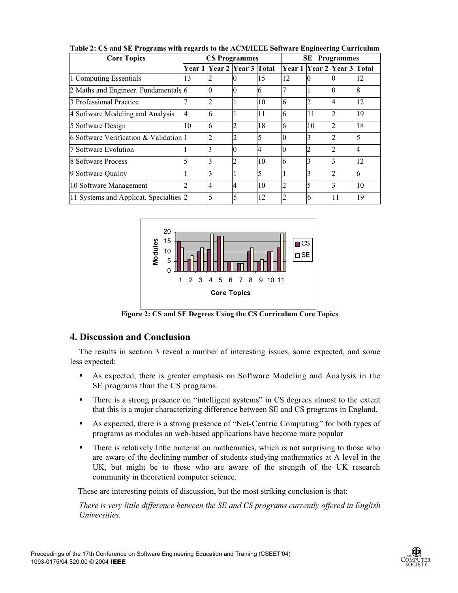| <b>Core Topics</b>                     | <b>CS Programmes</b> |                                  |   |             | SE<br><b>Programmes</b> |    |                            |    |
|----------------------------------------|----------------------|----------------------------------|---|-------------|-------------------------|----|----------------------------|----|
|                                        |                      | Year 1   Year 2   Year 3   Total |   |             | Year 1                  |    | <b>Near 2 Year 3 Total</b> |    |
| 1 Computing Essentials                 | 13                   |                                  |   | 15          | 12                      |    |                            | 12 |
| 2 Maths and Engineer. Fundamentals 6   |                      |                                  |   | 6           |                         |    | Ю                          |    |
| 3 Professional Practice                |                      |                                  |   | 10          | 6                       | 2  | $\overline{4}$             | 12 |
| 4 Software Modeling and Analysis       | $\overline{4}$       | 6                                |   | 11          | 6                       | 11 | 2                          | 19 |
| 5 Software Design                      | 10                   | 6                                |   | 18          | 6                       | 10 |                            | 18 |
| 6 Software Verification & Validation 1 |                      |                                  |   |             |                         | 3  |                            |    |
| 7 Software Evolution                   |                      |                                  |   | 4           |                         |    |                            |    |
| 8 Software Process                     |                      |                                  |   | 10          | 6                       |    |                            | 12 |
| 9 Software Quality                     |                      |                                  |   | $\varsigma$ |                         | 3  |                            | 6  |
| 10 Software Management                 |                      | 4                                | 4 | 10          |                         | 5  | 3                          | 10 |
| 11 Systems and Applicat. Specialties 2 |                      | 5                                | 5 | 12          |                         | 6  | 11                         | 19 |

**Table 2: CS and SE Programs with regards to the ACM/IEEE Software Engineering Curriculum** 



**Figure 2: CS and SE Degrees Using the CS Curriculum Core Topics**

## **4. Discussion and Conclusion**

The results in section 3 reveal a number of interesting issues, some expected, and some less expected:

- As expected, there is greater emphasis on Software Modeling and Analysis in the SE programs than the CS programs.
- There is a strong presence on "intelligent systems" in CS degrees almost to the extent that this is a major characterizing difference between SE and CS programs in England.
- As expected, there is a strong presence of "Net-Centric Computing" for both types of programs as modules on web-based applications have become more popular
- There is relatively little material on mathematics, which is not surprising to those who are aware of the declining number of students studying mathematics at A level in the UK, but might be to those who are aware of the strength of the UK research community in theoretical computer science.

These are interesting points of discussion, but the most striking conclusion is that:

*There is very little difference between the SE and CS programs currently offered in English Universities.*